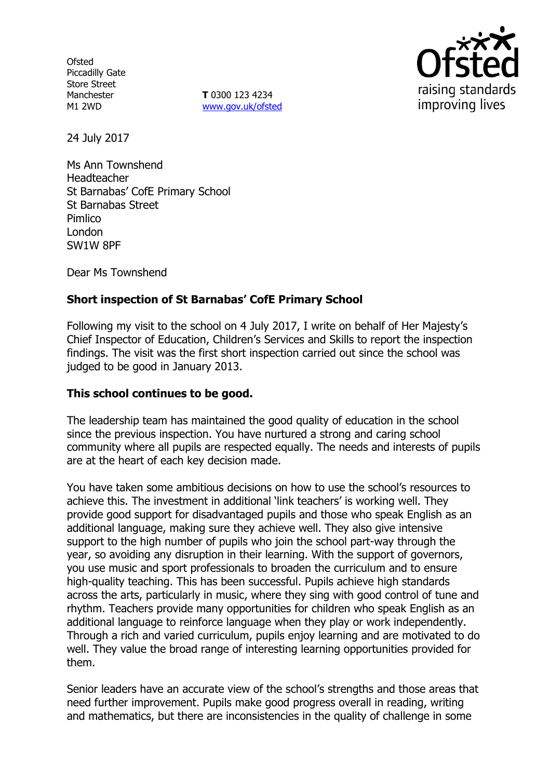**Ofsted** Piccadilly Gate Store Street Manchester M1 2WD

**T** 0300 123 4234 www.gov.uk/ofsted



24 July 2017

Ms Ann Townshend Headteacher St Barnabas' CofE Primary School St Barnabas Street **Pimlico** London SW1W 8PF

Dear Ms Townshend

## **Short inspection of St Barnabas' CofE Primary School**

Following my visit to the school on 4 July 2017, I write on behalf of Her Majesty's Chief Inspector of Education, Children's Services and Skills to report the inspection findings. The visit was the first short inspection carried out since the school was judged to be good in January 2013.

#### **This school continues to be good.**

The leadership team has maintained the good quality of education in the school since the previous inspection. You have nurtured a strong and caring school community where all pupils are respected equally. The needs and interests of pupils are at the heart of each key decision made.

You have taken some ambitious decisions on how to use the school's resources to achieve this. The investment in additional 'link teachers' is working well. They provide good support for disadvantaged pupils and those who speak English as an additional language, making sure they achieve well. They also give intensive support to the high number of pupils who join the school part-way through the year, so avoiding any disruption in their learning. With the support of governors, you use music and sport professionals to broaden the curriculum and to ensure high-quality teaching. This has been successful. Pupils achieve high standards across the arts, particularly in music, where they sing with good control of tune and rhythm. Teachers provide many opportunities for children who speak English as an additional language to reinforce language when they play or work independently. Through a rich and varied curriculum, pupils enjoy learning and are motivated to do well. They value the broad range of interesting learning opportunities provided for them.

Senior leaders have an accurate view of the school's strengths and those areas that need further improvement. Pupils make good progress overall in reading, writing and mathematics, but there are inconsistencies in the quality of challenge in some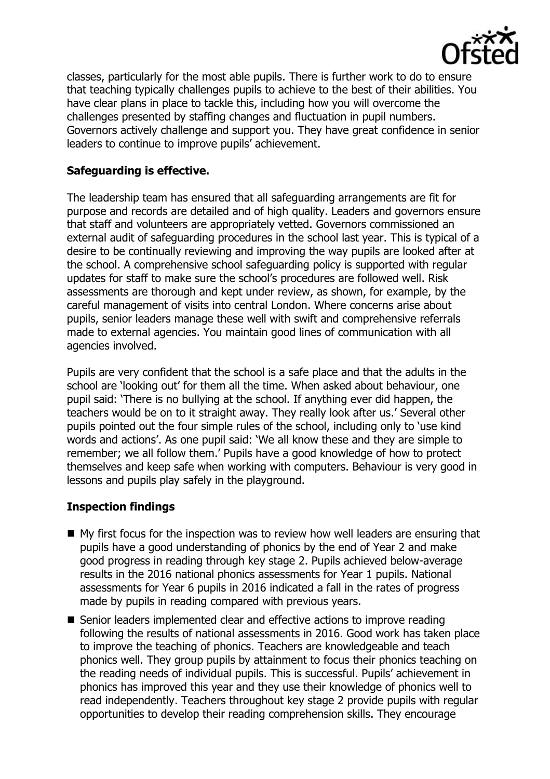

classes, particularly for the most able pupils. There is further work to do to ensure that teaching typically challenges pupils to achieve to the best of their abilities. You have clear plans in place to tackle this, including how you will overcome the challenges presented by staffing changes and fluctuation in pupil numbers. Governors actively challenge and support you. They have great confidence in senior leaders to continue to improve pupils' achievement.

### **Safeguarding is effective.**

The leadership team has ensured that all safeguarding arrangements are fit for purpose and records are detailed and of high quality. Leaders and governors ensure that staff and volunteers are appropriately vetted. Governors commissioned an external audit of safeguarding procedures in the school last year. This is typical of a desire to be continually reviewing and improving the way pupils are looked after at the school. A comprehensive school safeguarding policy is supported with regular updates for staff to make sure the school's procedures are followed well. Risk assessments are thorough and kept under review, as shown, for example, by the careful management of visits into central London. Where concerns arise about pupils, senior leaders manage these well with swift and comprehensive referrals made to external agencies. You maintain good lines of communication with all agencies involved.

Pupils are very confident that the school is a safe place and that the adults in the school are 'looking out' for them all the time. When asked about behaviour, one pupil said: 'There is no bullying at the school. If anything ever did happen, the teachers would be on to it straight away. They really look after us.' Several other pupils pointed out the four simple rules of the school, including only to 'use kind words and actions'. As one pupil said: 'We all know these and they are simple to remember; we all follow them.' Pupils have a good knowledge of how to protect themselves and keep safe when working with computers. Behaviour is very good in lessons and pupils play safely in the playground.

#### **Inspection findings**

- $\blacksquare$  My first focus for the inspection was to review how well leaders are ensuring that pupils have a good understanding of phonics by the end of Year 2 and make good progress in reading through key stage 2. Pupils achieved below-average results in the 2016 national phonics assessments for Year 1 pupils. National assessments for Year 6 pupils in 2016 indicated a fall in the rates of progress made by pupils in reading compared with previous years.
- Senior leaders implemented clear and effective actions to improve reading following the results of national assessments in 2016. Good work has taken place to improve the teaching of phonics. Teachers are knowledgeable and teach phonics well. They group pupils by attainment to focus their phonics teaching on the reading needs of individual pupils. This is successful. Pupils' achievement in phonics has improved this year and they use their knowledge of phonics well to read independently. Teachers throughout key stage 2 provide pupils with regular opportunities to develop their reading comprehension skills. They encourage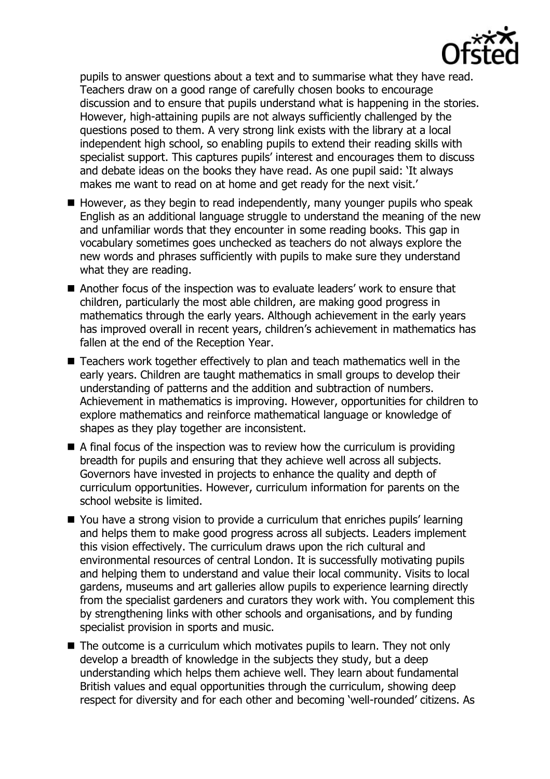

pupils to answer questions about a text and to summarise what they have read. Teachers draw on a good range of carefully chosen books to encourage discussion and to ensure that pupils understand what is happening in the stories. However, high-attaining pupils are not always sufficiently challenged by the questions posed to them. A very strong link exists with the library at a local independent high school, so enabling pupils to extend their reading skills with specialist support. This captures pupils' interest and encourages them to discuss and debate ideas on the books they have read. As one pupil said: 'It always makes me want to read on at home and get ready for the next visit.'

- $\blacksquare$  However, as they begin to read independently, many younger pupils who speak English as an additional language struggle to understand the meaning of the new and unfamiliar words that they encounter in some reading books. This gap in vocabulary sometimes goes unchecked as teachers do not always explore the new words and phrases sufficiently with pupils to make sure they understand what they are reading.
- Another focus of the inspection was to evaluate leaders' work to ensure that children, particularly the most able children, are making good progress in mathematics through the early years. Although achievement in the early years has improved overall in recent years, children's achievement in mathematics has fallen at the end of the Reception Year.
- Teachers work together effectively to plan and teach mathematics well in the early years. Children are taught mathematics in small groups to develop their understanding of patterns and the addition and subtraction of numbers. Achievement in mathematics is improving. However, opportunities for children to explore mathematics and reinforce mathematical language or knowledge of shapes as they play together are inconsistent.
- $\blacksquare$  A final focus of the inspection was to review how the curriculum is providing breadth for pupils and ensuring that they achieve well across all subjects. Governors have invested in projects to enhance the quality and depth of curriculum opportunities. However, curriculum information for parents on the school website is limited.
- You have a strong vision to provide a curriculum that enriches pupils' learning and helps them to make good progress across all subjects. Leaders implement this vision effectively. The curriculum draws upon the rich cultural and environmental resources of central London. It is successfully motivating pupils and helping them to understand and value their local community. Visits to local gardens, museums and art galleries allow pupils to experience learning directly from the specialist gardeners and curators they work with. You complement this by strengthening links with other schools and organisations, and by funding specialist provision in sports and music.
- $\blacksquare$  The outcome is a curriculum which motivates pupils to learn. They not only develop a breadth of knowledge in the subjects they study, but a deep understanding which helps them achieve well. They learn about fundamental British values and equal opportunities through the curriculum, showing deep respect for diversity and for each other and becoming 'well-rounded' citizens. As